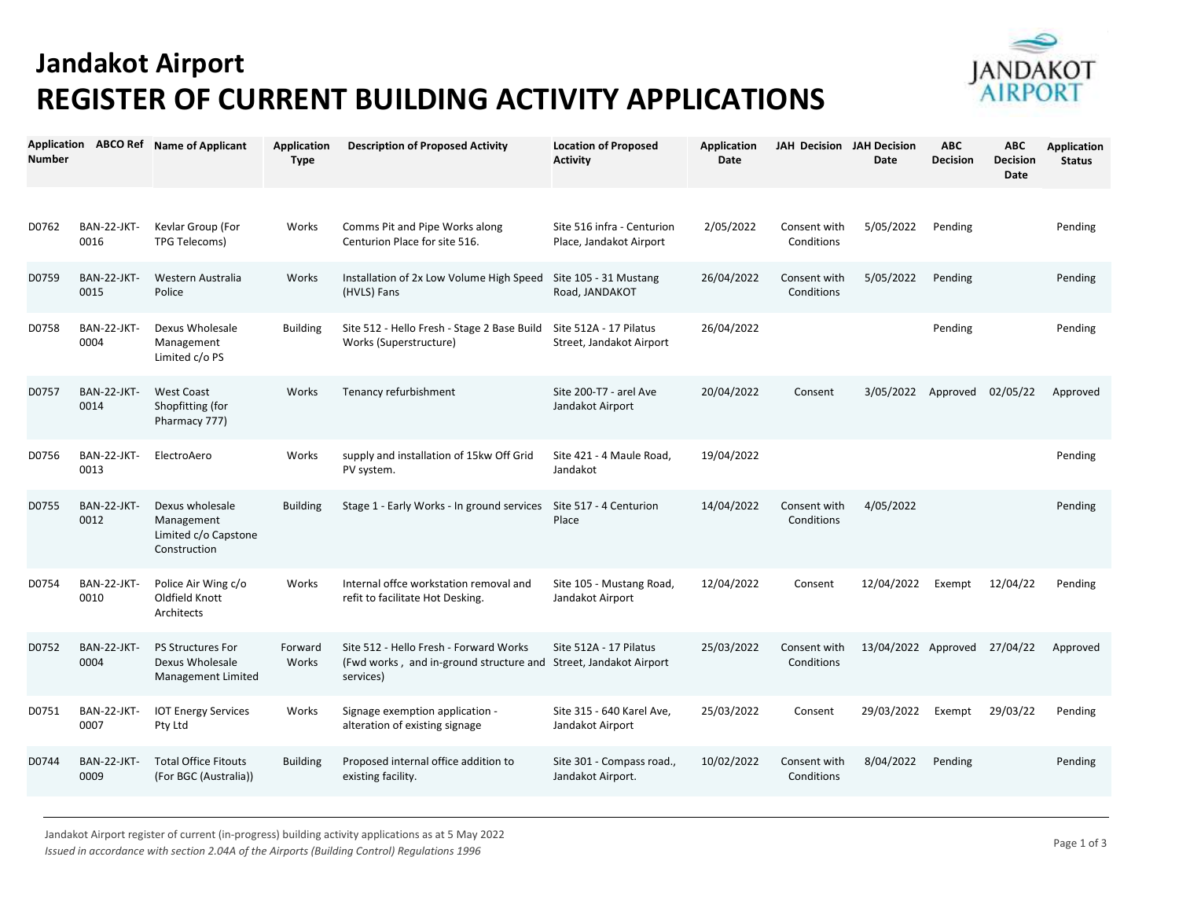## **Jandakot Airport REGISTER OF CURRENT BUILDING ACTIVITY APPLICATIONS**



| <b>Number</b> |                            | Application ABCO Ref Name of Applicant                                | <b>Application</b><br><b>Type</b> | <b>Description of Proposed Activity</b>                                                        | <b>Location of Proposed</b><br><b>Activity</b>        | <b>Application</b><br>Date | <b>JAH Decision JAH Decision</b> | Date                | <b>ABC</b><br><b>Decision</b> | <b>ABC</b><br><b>Decision</b><br><b>Date</b> | <b>Application</b><br><b>Status</b> |
|---------------|----------------------------|-----------------------------------------------------------------------|-----------------------------------|------------------------------------------------------------------------------------------------|-------------------------------------------------------|----------------------------|----------------------------------|---------------------|-------------------------------|----------------------------------------------|-------------------------------------|
| D0762         | BAN-22-JKT-<br>0016        | Kevlar Group (For<br>TPG Telecoms)                                    | Works                             | Comms Pit and Pipe Works along<br>Centurion Place for site 516.                                | Site 516 infra - Centurion<br>Place, Jandakot Airport | 2/05/2022                  | Consent with<br>Conditions       | 5/05/2022           | Pending                       |                                              | Pending                             |
| D0759         | <b>BAN-22-JKT-</b><br>0015 | Western Australia<br>Police                                           | Works                             | Installation of 2x Low Volume High Speed<br>(HVLS) Fans                                        | Site 105 - 31 Mustang<br>Road, JANDAKOT               | 26/04/2022                 | Consent with<br>Conditions       | 5/05/2022           | Pending                       |                                              | Pending                             |
| D0758         | BAN-22-JKT-<br>0004        | Dexus Wholesale<br>Management<br>Limited c/o PS                       | <b>Building</b>                   | Site 512 - Hello Fresh - Stage 2 Base Build<br>Works (Superstructure)                          | Site 512A - 17 Pilatus<br>Street, Jandakot Airport    | 26/04/2022                 |                                  |                     | Pending                       |                                              | Pending                             |
| D0757         | BAN-22-JKT-<br>0014        | <b>West Coast</b><br>Shopfitting (for<br>Pharmacy 777)                | Works                             | Tenancy refurbishment                                                                          | Site 200-T7 - arel Ave<br>Jandakot Airport            | 20/04/2022                 | Consent                          | 3/05/2022           | Approved                      | 02/05/22                                     | Approved                            |
| D0756         | BAN-22-JKT-<br>0013        | ElectroAero                                                           | Works                             | supply and installation of 15kw Off Grid<br>PV system.                                         | Site 421 - 4 Maule Road,<br>Jandakot                  | 19/04/2022                 |                                  |                     |                               |                                              | Pending                             |
| D0755         | BAN-22-JKT-<br>0012        | Dexus wholesale<br>Management<br>Limited c/o Capstone<br>Construction | <b>Building</b>                   | Stage 1 - Early Works - In ground services                                                     | Site 517 - 4 Centurion<br>Place                       | 14/04/2022                 | Consent with<br>Conditions       | 4/05/2022           |                               |                                              | Pending                             |
| D0754         | BAN-22-JKT-<br>0010        | Police Air Wing c/o<br>Oldfield Knott<br>Architects                   | Works                             | Internal offce workstation removal and<br>refit to facilitate Hot Desking.                     | Site 105 - Mustang Road,<br>Jandakot Airport          | 12/04/2022                 | Consent                          | 12/04/2022          | Exempt                        | 12/04/22                                     | Pending                             |
| D0752         | BAN-22-JKT-<br>0004        | <b>PS Structures For</b><br>Dexus Wholesale<br>Management Limited     | Forward<br>Works                  | Site 512 - Hello Fresh - Forward Works<br>(Fwd works, and in-ground structure and<br>services) | Site 512A - 17 Pilatus<br>Street, Jandakot Airport    | 25/03/2022                 | Consent with<br>Conditions       | 13/04/2022 Approved |                               | 27/04/22                                     | Approved                            |
| D0751         | BAN-22-JKT-<br>0007        | <b>IOT Energy Services</b><br>Pty Ltd                                 | Works                             | Signage exemption application -<br>alteration of existing signage                              | Site 315 - 640 Karel Ave,<br>Jandakot Airport         | 25/03/2022                 | Consent                          | 29/03/2022          | Exempt                        | 29/03/22                                     | Pending                             |
| D0744         | <b>BAN-22-JKT-</b><br>0009 | <b>Total Office Fitouts</b><br>(For BGC (Australia))                  | <b>Building</b>                   | Proposed internal office addition to<br>existing facility.                                     | Site 301 - Compass road.,<br>Jandakot Airport.        | 10/02/2022                 | Consent with<br>Conditions       | 8/04/2022           | Pending                       |                                              | Pending                             |

Jandakot Airport register of current (in-progress) building activity applications as at 5 May 2022 *Issued in accordance with section 2.04A of the Airports (Building Control) Regulations 1996*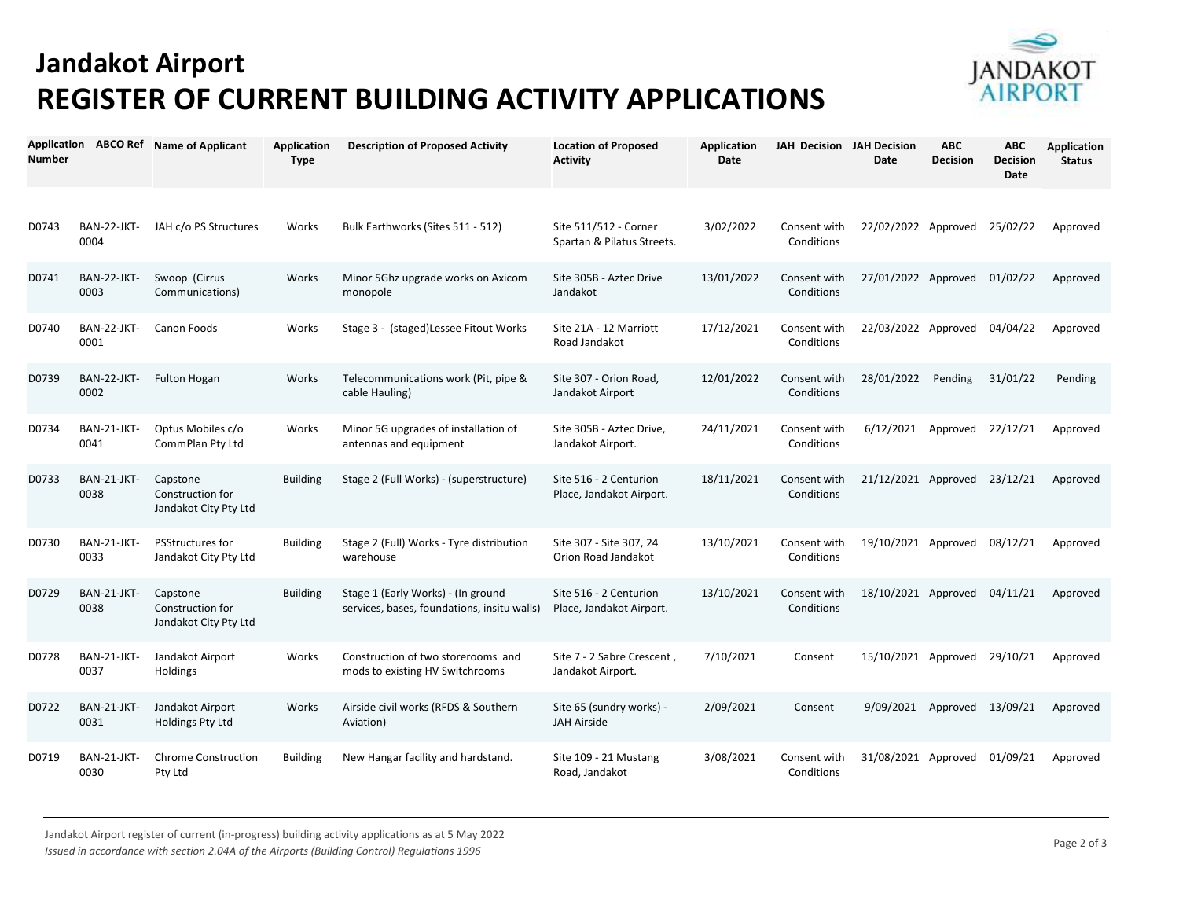## **Jandakot Airport REGISTER OF CURRENT BUILDING ACTIVITY APPLICATIONS**



| <b>Number</b> |                            | Application ABCO Ref Name of Applicant                | <b>Application</b><br><b>Type</b> | <b>Description of Proposed Activity</b>                                           | <b>Location of Proposed</b><br><b>Activity</b>      | <b>Application</b><br>Date | JAH Decision JAH Decision  | <b>Date</b>                  | <b>ABC</b><br><b>Decision</b> | <b>ABC</b><br><b>Decision</b><br>Date | <b>Application</b><br><b>Status</b> |
|---------------|----------------------------|-------------------------------------------------------|-----------------------------------|-----------------------------------------------------------------------------------|-----------------------------------------------------|----------------------------|----------------------------|------------------------------|-------------------------------|---------------------------------------|-------------------------------------|
| D0743         | <b>BAN-22-JKT-</b><br>0004 | JAH c/o PS Structures                                 | Works                             | Bulk Earthworks (Sites 511 - 512)                                                 | Site 511/512 - Corner<br>Spartan & Pilatus Streets. | 3/02/2022                  | Consent with<br>Conditions | 22/02/2022 Approved          |                               | 25/02/22                              | Approved                            |
| D0741         | BAN-22-JKT-<br>0003        | Swoop (Cirrus<br>Communications)                      | Works                             | Minor 5Ghz upgrade works on Axicom<br>monopole                                    | Site 305B - Aztec Drive<br>Jandakot                 | 13/01/2022                 | Consent with<br>Conditions | 27/01/2022 Approved          |                               | 01/02/22                              | Approved                            |
| D0740         | <b>BAN-22-JKT-</b><br>0001 | Canon Foods                                           | Works                             | Stage 3 - (staged) Lessee Fitout Works                                            | Site 21A - 12 Marriott<br>Road Jandakot             | 17/12/2021                 | Consent with<br>Conditions | 22/03/2022 Approved          |                               | 04/04/22                              | Approved                            |
| D0739         | BAN-22-JKT-<br>0002        | <b>Fulton Hogan</b>                                   | Works                             | Telecommunications work (Pit, pipe &<br>cable Hauling)                            | Site 307 - Orion Road,<br>Jandakot Airport          | 12/01/2022                 | Consent with<br>Conditions | 28/01/2022                   | Pending                       | 31/01/22                              | Pending                             |
| D0734         | BAN-21-JKT-<br>0041        | Optus Mobiles c/o<br>CommPlan Pty Ltd                 | Works                             | Minor 5G upgrades of installation of<br>antennas and equipment                    | Site 305B - Aztec Drive,<br>Jandakot Airport.       | 24/11/2021                 | Consent with<br>Conditions | $6/12/2021$ Approved         |                               | 22/12/21                              | Approved                            |
| D0733         | BAN-21-JKT-<br>0038        | Capstone<br>Construction for<br>Jandakot City Pty Ltd | <b>Building</b>                   | Stage 2 (Full Works) - (superstructure)                                           | Site 516 - 2 Centurion<br>Place, Jandakot Airport.  | 18/11/2021                 | Consent with<br>Conditions | 21/12/2021 Approved 23/12/21 |                               |                                       | Approved                            |
| D0730         | BAN-21-JKT-<br>0033        | <b>PSStructures for</b><br>Jandakot City Pty Ltd      | <b>Building</b>                   | Stage 2 (Full) Works - Tyre distribution<br>warehouse                             | Site 307 - Site 307, 24<br>Orion Road Jandakot      | 13/10/2021                 | Consent with<br>Conditions | 19/10/2021 Approved          |                               | 08/12/21                              | Approved                            |
| D0729         | BAN-21-JKT-<br>0038        | Capstone<br>Construction for<br>Jandakot City Pty Ltd | <b>Building</b>                   | Stage 1 (Early Works) - (In ground<br>services, bases, foundations, insitu walls) | Site 516 - 2 Centurion<br>Place, Jandakot Airport.  | 13/10/2021                 | Consent with<br>Conditions | 18/10/2021 Approved          |                               | 04/11/21                              | Approved                            |
| D0728         | BAN-21-JKT-<br>0037        | Jandakot Airport<br>Holdings                          | Works                             | Construction of two storerooms and<br>mods to existing HV Switchrooms             | Site 7 - 2 Sabre Crescent,<br>Jandakot Airport.     | 7/10/2021                  | Consent                    | 15/10/2021 Approved          |                               | 29/10/21                              | Approved                            |
| D0722         | BAN-21-JKT-<br>0031        | Jandakot Airport<br>Holdings Pty Ltd                  | Works                             | Airside civil works (RFDS & Southern<br>Aviation)                                 | Site 65 (sundry works) -<br><b>JAH Airside</b>      | 2/09/2021                  | Consent                    | 9/09/2021                    | Approved 13/09/21             |                                       | Approved                            |
| D0719         | BAN-21-JKT-<br>0030        | <b>Chrome Construction</b><br>Pty Ltd                 | <b>Building</b>                   | New Hangar facility and hardstand.                                                | Site 109 - 21 Mustang<br>Road, Jandakot             | 3/08/2021                  | Consent with<br>Conditions | 31/08/2021 Approved          |                               | 01/09/21                              | Approved                            |

Jandakot Airport register of current (in-progress) building activity applications as at 5 May 2022 *Issued in accordance with section 2.04A of the Airports (Building Control) Regulations 1996*